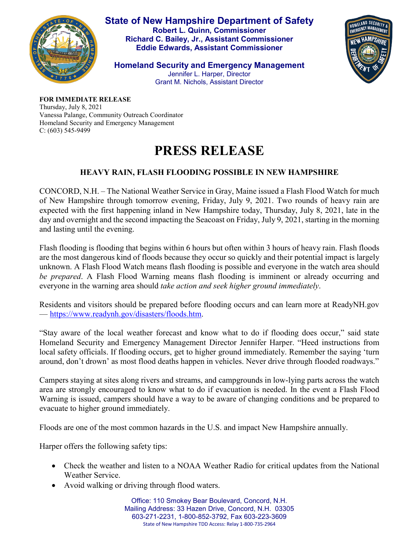

**State of New Hampshire Department of Safety Robert L. Quinn, Commissioner Richard C. Bailey, Jr., Assistant Commissioner Eddie Edwards, Assistant Commissioner**

HOMELAND SECURITY

**Homeland Security and Emergency Management** Jennifer L. Harper, Director Grant M. Nichols, Assistant Director

**FOR IMMEDIATE RELEASE** Thursday, July 8, 2021 Vanessa Palange, Community Outreach Coordinator Homeland Security and Emergency Management C: (603) 545-9499

## **PRESS RELEASE**

## **HEAVY RAIN, FLASH FLOODING POSSIBLE IN NEW HAMPSHIRE**

CONCORD, N.H. – The National Weather Service in Gray, Maine issued a Flash Flood Watch for much of New Hampshire through tomorrow evening, Friday, July 9, 2021. Two rounds of heavy rain are expected with the first happening inland in New Hampshire today, Thursday, July 8, 2021, late in the day and overnight and the second impacting the Seacoast on Friday, July 9, 2021, starting in the morning and lasting until the evening.

Flash flooding is flooding that begins within 6 hours but often within 3 hours of heavy rain. Flash floods are the most dangerous kind of floods because they occur so quickly and their potential impact is largely unknown. A Flash Flood Watch means flash flooding is possible and everyone in the watch area should *be prepared*. A Flash Flood Warning means flash flooding is imminent or already occurring and everyone in the warning area should *take action and seek higher ground immediately*.

Residents and visitors should be prepared before flooding occurs and can learn more at ReadyNH.gov — [https://www.readynh.gov/disasters/floods.htm.](https://www.readynh.gov/disasters/floods.htm)

"Stay aware of the local weather forecast and know what to do if flooding does occur," said state Homeland Security and Emergency Management Director Jennifer Harper. "Heed instructions from local safety officials. If flooding occurs, get to higher ground immediately. Remember the saying 'turn around, don't drown' as most flood deaths happen in vehicles. Never drive through flooded roadways."

Campers staying at sites along rivers and streams, and campgrounds in low-lying parts across the watch area are strongly encouraged to know what to do if evacuation is needed. In the event a Flash Flood Warning is issued, campers should have a way to be aware of changing conditions and be prepared to evacuate to higher ground immediately.

Floods are one of the most common hazards in the U.S. and impact New Hampshire annually.

Harper offers the following safety tips:

- Check the weather and listen to a NOAA Weather Radio for critical updates from the National Weather Service.
- Avoid walking or driving through flood waters.

Office: 110 Smokey Bear Boulevard, Concord, N.H. Mailing Address: 33 Hazen Drive, Concord, N.H. 03305 603-271-2231, 1-800-852-3792, Fax 603-223-3609 State of New Hampshire TDD Access: Relay 1-800-735-2964